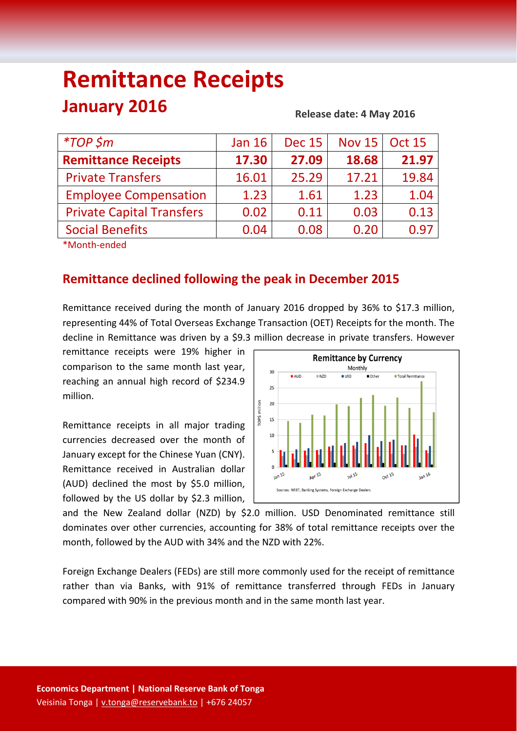# **Remittance Receipts January 2016**

#### **Release date: 4 May 2016**

| <i>*TOP</i> \$m                  | <b>Jan 16</b> | <b>Dec 15</b> | <b>Nov 15</b> | <b>Oct 15</b> |
|----------------------------------|---------------|---------------|---------------|---------------|
| <b>Remittance Receipts</b>       | 17.30         | 27.09         | 18.68         | 21.97         |
| <b>Private Transfers</b>         | 16.01         | 25.29         | 17.21         | 19.84         |
| <b>Employee Compensation</b>     | 1.23          | 1.61          | 1.23          | 1.04          |
| <b>Private Capital Transfers</b> | 0.02          | 0.11          | 0.03          | 0.13          |
| <b>Social Benefits</b>           | 0.04          | 0.08          | 0.20          | 0.97          |
|                                  |               |               |               |               |

\*Month‐ended

## **Remittance declined following the peak in December 2015**

Remittance received during the month of January 2016 dropped by 36% to \$17.3 million, representing 44% of Total Overseas Exchange Transaction (OET) Receipts for the month. The decline in Remittance was driven by a \$9.3 million decrease in private transfers. However

remittance receipts were 19% higher in comparison to the same month last year, reaching an annual high record of \$234.9 million.

Remittance receipts in all major trading currencies decreased over the month of January except for the Chinese Yuan (CNY). Remittance received in Australian dollar (AUD) declined the most by \$5.0 million, followed by the US dollar by \$2.3 million,



and the New Zealand dollar (NZD) by \$2.0 million. USD Denominated remittance still dominates over other currencies, accounting for 38% of total remittance receipts over the month, followed by the AUD with 34% and the NZD with 22%.

Foreign Exchange Dealers (FEDs) are still more commonly used for the receipt of remittance rather than via Banks, with 91% of remittance transferred through FEDs in January compared with 90% in the previous month and in the same month last year.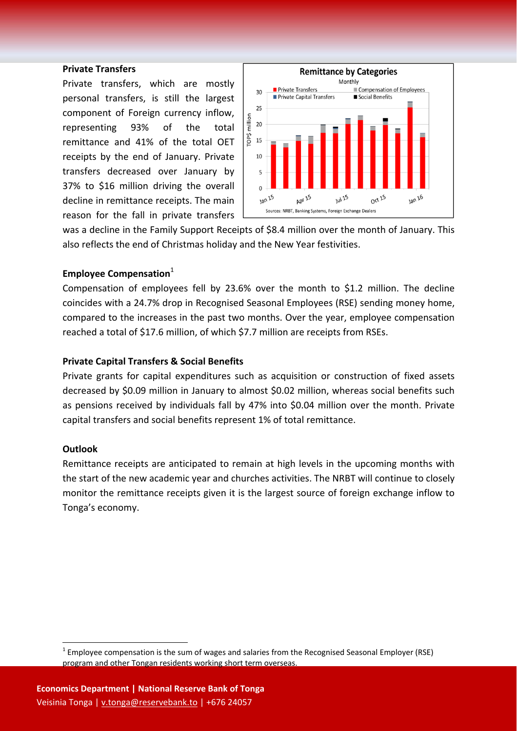#### **Private Transfers**

Private transfers, which are mostly personal transfers, is still the largest component of Foreign currency inflow, representing 93% of the total remittance and 41% of the total OET receipts by the end of January. Private transfers decreased over January by 37% to \$16 million driving the overall decline in remittance receipts. The main reason for the fall in private transfers



was a decline in the Family Support Receipts of \$8.4 million over the month of January. This also reflects the end of Christmas holiday and the New Year festivities.

### **Employee Compensation**<sup>1</sup>

Compensation of employees fell by 23.6% over the month to \$1.2 million. The decline coincides with a 24.7% drop in Recognised Seasonal Employees (RSE) sending money home, compared to the increases in the past two months. Over the year, employee compensation reached a total of \$17.6 million, of which \$7.7 million are receipts from RSEs.

#### **Private Capital Transfers & Social Benefits**

Private grants for capital expenditures such as acquisition or construction of fixed assets decreased by \$0.09 million in January to almost \$0.02 million, whereas social benefits such as pensions received by individuals fall by 47% into \$0.04 million over the month. Private capital transfers and social benefits represent 1% of total remittance.

#### **Outlook**

Remittance receipts are anticipated to remain at high levels in the upcoming months with the start of the new academic year and churches activities. The NRBT will continue to closely monitor the remittance receipts given it is the largest source of foreign exchange inflow to Tonga's economy.

 $1$  Employee compensation is the sum of wages and salaries from the Recognised Seasonal Employer (RSE) program and other Tongan residents working short term overseas.